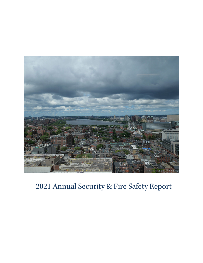

# 1 Annual Security & Fire Safety Report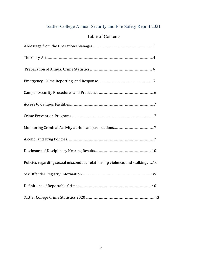# Sattler College Annual Security and Fire Safety Report 2021

# Table of Contents

| Policies regarding sexual misconduct, relationship violence, and stalking10 |
|-----------------------------------------------------------------------------|
|                                                                             |
|                                                                             |
|                                                                             |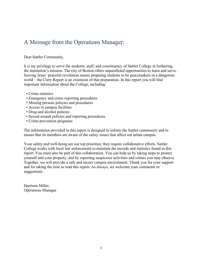# A Message from the Operations Manager:

#### Dear Sattler Community,

It is my privilege to serve the students, staff, and constituency of Sattler College in furthering the institution's mission. The city of Boston offers unparalleled opportunities to learn and serve. Serving Jesus' peaceful revolution means preparing students to be peacemakers in a dangerous world – the Clery Report is an extension of that preparation. In this report you will find important information about the College, including:

- Crime statistics
- Emergency and crime reporting procedures
- Missing persons policies and procedures
- Access to campus facilities
- Drug and alcohol policies
- Sexual assault policies and reporting procedures
- Crime prevention programs

The information provided in this report is designed to inform the Sattler community and to ensure that its members are aware of the safety issues that affect our urban campus.

Your safety and well-being are our top priorities; they require collaborative efforts. Sattler College works with local law enforcement to maintain the records and statistics found in this report. You must also be part of this collaboration. You can help us by taking steps to protect yourself and your property, and by reporting suspicious activities and crimes you may observe. Together, we will provide a safe and secure campus environment. Thank you for your support and for taking the time to read this report. As always, we welcome your comments or suggestions.

Harrison Miller, Operations Manager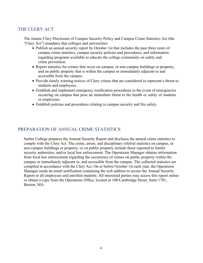# THE CLERY ACT

The Jeanne Clery Disclosure of Campus Security Policy and Campus Crime Statistics Act (the "Clery Act") mandates that colleges and universities:

- Publish an annual security report by October 1st that includes the past three years of campus crime statistics, campus security policies and procedures, and information regarding programs available to educate the college community on safety and crime prevention.
- Report statistics for crimes that occur on campus, in non-campus buildings or property, and on public property that is within the campus or immediately adjacent to and accessible from the campus.
- Provide timely warning notices of Clery crimes that are considered to represent a threat to students and employees.
- Establish and implement emergency notification procedures in the event of emergencies occurring on campus that pose an immediate threat to the health or safety of students or employees.
- Establish policies and procedures relating to campus security and fire safety.

# PREPARATION OF ANNUAL CRIME STATISTICS

Sattler College prepares the Annual Security Report and discloses the annual crime statistics to comply with the Clery Act. The crime, arrest, and disciplinary referral statistics on campus, in non-campus buildings or property, or on public property include those reported to Sattler security authorities, and/or local law enforcement. The Operations Manager obtains information from local law enforcement regarding the occurrence of crimes on public property within the campus or immediately adjacent to, and accessible from the campus. The collected statistics are compiled in accordance with the Clery Act. On or before October 1st each year, the Operations Manager sends an email notification containing the web address to access the Annual Security Report to all employees and enrolled students. All interested parties may access this report online or obtain a copy from the Operations Office, located at 100 Cambridge Street, Suite 1701, Boston, MA.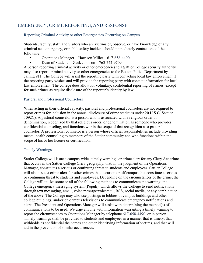# EMERGENCY, CRIME REPORTING, AND RESPONSE

#### Reporting Criminal Activity or other Emergencies Occurring on Campus

Students, faculty, staff, and visitors who are victims of, observe, or have knowledge of any criminal act, emergency, or public safety incident should immediately contact one of the following:

- Operations Manager Harrison Miller 617-658-4490.
- Dean of Students Zack Johnson 763-742-9709

A person reporting criminal activity or other emergencies to a Sattler College security authority may also report criminal activity or other emergencies to the Boston Police Department by calling 911. The College will assist the reporting party with contacting local law enforcement if the reporting party wishes and will provide the reporting party with contact information for local law enforcement. The college does allow for voluntary, confidential reporting of crimes, except for such crimes as require disclosure of the reporter's identity by law.

#### Pastoral and Professional Counselors

When acting in their official capacity, pastoral and professional counselors are not required to report crimes for inclusion in the annual disclosure of crime statistics under 20 U.S.C. Section 1092(f). A pastoral counselor is a person who is associated with a religious order or denomination, recognized by that religious order, or denomination as someone who provides confidential counseling, and functions within the scope of that recognition as a pastoral counselor. A professional counselor is a person whose official responsibilities include providing mental health counseling to members of the Sattler community and who functions within the scope of his or her license or certification.

#### Timely Warnings

Sattler College will issue a campus-wide "timely warning" or crime alert for any Clery Act crime that occurs in the Sattler College Clery geography, that, in the judgment of the Operations Manager, constitutes a serious or continuing threat to students and employees. Sattler College will also issue a crime alert for other crimes that occur on or off campus that constitute a serious or continuing threat to students and employees. Depending on the circumstances of the crime, the College will utilize some or all of the following methods to communicate the warning: the College emergency messaging system (Populi), which allows the College to send notifications through text messaging, email, voice message/voicemail, RSS, social media, or any combination of the above. The College may also use postings in lobbies of campus buildings and other college buildings, and/or on-campus televisions to communicate emergency notifications and alerts. The President and Operations Manager will assist with determining the method(s) of communications to be used. We urge anyone with information warranting a timely warning to report the circumstances to Operations Manager by telephone 617-658-4490, or in person. Timely warnings shall be provided to students and employees in a manner that is timely, that withholds as confidential the names and other identifying information of victims, and that will aid in the prevention of similar occurrences.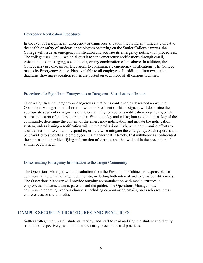#### Emergency Notification Procedures

In the event of a significant emergency or dangerous situation involving an immediate threat to the health or safety of students or employees occurring on the Sattler College campus, the College will issue an emergency notification and activate its emergency notification procedures. The college uses Populi, which allows it to send emergency notifications through email, voicemail, text messaging, social media, or any combination of the above. In addition, the College may use on-campus televisions to communicate emergency notifications. The College makes its Emergency Action Plan available to all employees. In addition, floor evacuation diagrams showing evacuation routes are posted on each floor of all campus facilities.

#### Procedures for Significant Emergencies or Dangerous Situations notification

Once a significant emergency or dangerous situation is confirmed as described above, the Operations Manager in collaboration with the President (or his designee) will determine the appropriate segment or segments of the community to receive a notification, depending on the nature and extent of the threat or danger. Without delay and taking into account the safety of the community, determine the content of the emergency notification and initiate the notification system, unless issuing a notification will, in the professional judgment, compromise efforts to assist a victim or to contain, respond to, or otherwise mitigate the emergency. Such reports shall be provided to students and employees in a manner that is timely, that withholds as confidential the names and other identifying information of victims, and that will aid in the prevention of similar occurrences.

#### Disseminating Emergency Information to the Larger Community

The Operations Manager, with consultation from the Presidential Cabinet, is responsible for communicating with the larger community, including both internal and externalconstituencies. The Operations Manager will provide ongoing communication with media, trustees, all employees, students, alumni, parents, and the public. The Operations Manager may communicate through various channels, including campus-wide emails, press releases, press conferences, or social media.

# CAMPUS SECURITY PROCEDURES AND PRACTICES

Sattler College requires all students, faculty, and staff to read and sign the student and faculty handbook, respectively, which outlines security procedures and practices.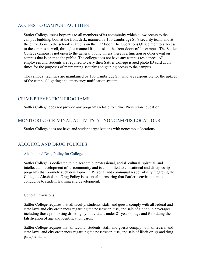# ACCESS TO CAMPUS FACILITIES

Sattler College issues keycards to all members of its community which allow access to the campus building, both at the front desk, manned by 100 Cambridge St.'s security team, and at the entry doors to the school's campus on the  $17<sup>th</sup>$  floor. The Operations Office monitors access to the campus as well, through a manned front desk at the front doors of the campus. The Sattler College campus is not open to the general public unless there is a function or other event on campus that is open to the public. The college does not have any campus residences. All employees and students are required to carry their Sattler College issued photo ID card at all times for the purposes of maintaining security and gaining access to the campus.

The campus' facilities are maintained by 100 Cambridge St., who are responsible for the upkeep of the campus' lighting and emergency notification system.

# CRIME PREVENTION PROGRAMS

Sattler College does not provide any programs related to Crime Prevention education.

# MONITORING CRIMINAL ACTIVITY AT NONCAMPUS LOCATIONS

Sattler College does not have and student organizations with noncampus locations.

# ALCOHOL AND DRUG POLICIES

#### Alcohol and Drug Policy for College

Sattler College is dedicated to the academic, professional, social, cultural, spiritual, and intellectual development of its community and is committed to educational and discipleship programs that promote such development. Personal and communal responsibility regarding the College's Alcohol and Drug Policy is essential in ensuring that Sattler's environment is conducive to student learning and development.

#### General Provisions

Sattler College requires that all faculty, students, staff, and guests comply with all federal and state laws and city ordinances regarding the possession, use, and sale of alcoholic beverages, including those prohibiting drinking by individuals under 21 years of age and forbidding the falsification of age and identification cards.

Sattler College requires that all faculty, students, staff, and guests comply with all federal and state laws, and city ordinances regarding the possession, use, and sale of illicit drugs and drug paraphernalia.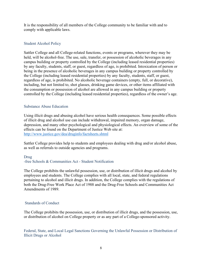It is the responsibility of all members of the College community to be familiar with and to comply with applicable laws.

#### Student Alcohol Policy

Sattler College and all College-related functions, events or programs, wherever they may be held, will be alcohol-free. The use, sale, transfer, or possession of alcoholic beverages in any campus building or property controlled by the College (including leased residential properties) by any faculty, students, staff, or guest, regardless of age, is prohibited. Intoxication of person or being in the presence of alcoholic beverages in any campus building or property controlled by the College (including leased residential properties) by any faculty, students, staff, or guest, regardless of age, is prohibited. No alcoholic beverage containers (empty, full, or decorative), including, but not limited to, shot glasses, drinking game devices, or other items affiliated with the consumption or possession of alcohol are allowed in any campus building or property controlled by the College (including leased residential properties), regardless of the owner's age.

#### Substance Abuse Education

Using illicit drugs and abusing alcohol have serious health consequences. Some possible effects of illicit drug and alcohol use can include withdrawal, impaired memory, organ damage, depression, and many other psychological and physiological effects. An overview of some of the effects can be found on the Department of Justice Web site at: <http://www.justice.gov/dea/druginfo/factsheets.shtml>

Sattler College provides help to students and employees dealing with drug and/or alcohol abuse, as well as referrals to outside agencies and programs.

#### Drug

#### -free Schools & Communities Act - Student Notification

The College prohibits the unlawful possession, use, or distribution of illicit drugs and alcohol by employees and students. The College complies with all local, state, and federal regulations pertaining to alcohol and illicit drugs. In addition, the College complies with the regulations of both the Drug-Free Work Place Act of 1988 and the Drug-Free Schools and Communities Act Amendments of 1989.

#### Standards of Conduct

The College prohibits the possession, use, or distribution of illicit drugs, and the possession, use, or distribution of alcohol on College property or as any part of a College-sponsored activity.

Federal, State, and Local Legal Sanctions Governing the Unlawful Possession or Distribution of Illicit Drugs or Alcohol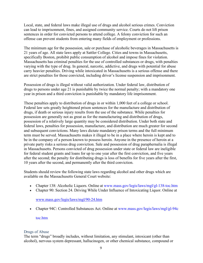Local, state, and federal laws make illegal use of drugs and alcohol serious crimes. Conviction can lead to imprisonment, fines, and assigned community service. Courts do not lift prison sentences in order for convicted persons to attend college. A felony conviction for such an offense can prevent students from entering many fields of employment or professions.

The minimum age for the possession, sale or purchase of alcoholic beverages in Massachusetts is 21 years of age. All state laws apply at Sattler College. Cities and towns in Massachusetts, specifically Boston, prohibit public consumption of alcohol and impose fines for violation. Massachusetts has criminal penalties for the use of controlled substances or drugs, with penalties varying with the type of drug. In general, narcotic, addictive, and drugs with potential for abuse carry heavier penalties. Driving while intoxicated in Massachusetts is a serious offense and there are strict penalties for those convicted, including driver's license suspension and imprisonment.

Possession of drugs is illegal without valid authorization. Under federal law, distribution of drugs to persons under age 21 is punishable by twice the normal penalty; with a mandatory one year in prison and a third conviction is punishable by mandatory life imprisonment.

These penalties apply to distribution of drugs in or within 1,000 feet of a college or school. Federal law sets greatly heightened prison sentences for the manufacture and distribution of drugs, if death or serious injury results from the use of the substance. While penalties for possession are generally not as great as for the manufacturing and distribution of drugs, possession of a relatively large quantity may be considered distribution. Under both state and federal laws, penalties for possession, manufacture, and distribution are much greater for second and subsequent convictions. Many laws dictate mandatory prison terms and the full minimum term must be served. Massachusetts makes it illegal to be in a place where heroin is kept and to be in the company of a person known to possess heroin. Anyone in the presence of heroin at a private party risks a serious drug conviction. Sale and possession of drug paraphernalia is illegal in Massachusetts. Persons convicted of drug possession under state or federal law are ineligible for federal student grants and loans for up to one year after the first conviction, and five years after the second; the penalty for distributing drugs is loss of benefits for five years after the first, 10 years after the second, and permanently after the third conviction.

Students should review the following state laws regarding alcohol and other drugs which are available on the Massachusetts General Court website:

- Chapter 138: Alcoholic Liquors. Online at [www.mass.gov/legis/laws/mgl/gl-138-toc.htm](http://www.mass.gov/legis/laws/mgl/gl-138-toc.htm)
- Chapter 90: Section 24. Driving While Under Influence of Intoxicating Liquor. Online at

[www.mass.gov/legis/laws/mgl/90-24.htm](http://www.mass.gov/legis/laws/mgl/90-24.htm)

• Chapter 94C: Controlled Substances Act. Online at [www.mass.gov/legis/laws/mgl/gl-94c](http://www.mass.gov/legis/laws/mgl/gl-94c)

toc.htm

#### Drugs of Abuse

The term "drugs" broadly includes, without limitation, any stimulant, intoxicant (other than alcohol), nervous system depressant, hallucinogen, or other chemical substance, compound or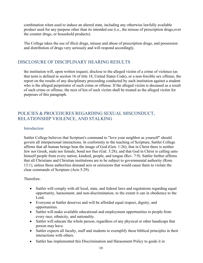combination when used to induce an altered state, including any otherwise lawfully available product used for any purpose other than its intended use (i.e., the misuse of prescription drugs,over the counter drugs, or household products).

The College takes the use of illicit drugs, misuse and abuse of prescription drugs, and possession and distribution of drugs very seriously and will respond accordingly.

# DISCLOSURE OF DISCIPLINARY HEARING RESULTS

the institution will, upon written request, disclose to the alleged victim of a crime of violence (as that term is defined in section 16 of title 18, United States Code), or a non-forcible sex offense, the report on the results of any disciplinary proceeding conducted by such institution against a student who is the alleged perpetrator of such crime or offense. If the alleged victim is deceased as a result of such crime or offense, the next of kin of such victim shall be treated as the alleged victim for purposes of this paragraph.

# POLICIES & PROCEDURES REGARDING SEXUAL MISCONDUCT, RELATIONSHIP VIOLENCE, AND STALKING

#### Introduction

Sattler College believes that Scripture's command to "love your neighbor as yourself" should govern all interpersonal interactions. In conformity to the teaching of Scripture, Sattler College affirms that all human beings bear the image of God (Gen. 1:26); that in Christ there is neither Jew nor Greek, male nor female, bond nor free (Gal. 3:28); and that God in Christ is calling unto himself people from every nation, kindred, people, and tongue (Rev. 7:9). Sattler further affirms that all Christians and Christian institutions are to be subject to governmental authority (Rom. 13:1), unless those authorities demand acts or omissions that would cause them to violate the clear commands of Scripture (Acts 5:29).

Therefore:

- Sattler will comply with all local, state, and federal laws and regulations regarding equal opportunity, harassment, and non-discrimination, to the extent it can in obedience to the Lord.
- Everyone at Sattler deserves and will be afforded equal respect, dignity, and opportunities.
- Sattler will make available educational and employment opportunities to people from every race, ethnicity, and nationality.
- Sattler will educate the whole person, regardless of any physical or other handicaps that person may have.
- Sattler expects all faculty, staff and students to exemplify these biblical principles in their interactions with others.
- Sattler has implemented this Discrimination and Harassment Policy to guide it in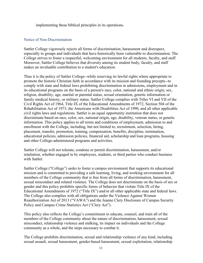implementing these biblical principles in its operations.

#### Notice of Non-Discrimination

Sattler College vigorously rejects all forms of discrimination, harassment and disrespect, especially to groups and individuals that have historically been vulnerable to discrimination. The College strives to foster a respectful, welcoming environment for all students, faculty, and staff. Moreover, Sattler College believes that diversity among its student body, faculty, and staff makes an invaluable contribution to a student's education.

Thus it is the policy of Sattler College--while reserving its lawful rights where appropriate to promote the historic Christian faith in accordance with its mission and founding precepts--to comply with state and federal laws prohibiting discrimination in admissions, employment and in its educational programs on the basis of a person's race, color, national and ethnic origin, sex, religion, disability, age, marital or parental status, sexual orientation, genetic information or family medical history, or military status. Sattler College complies with Titles VI and VII of the Civil Rights Act of 1964, Title IX of the Educational Amendments of 1972, Section 504 of the Rehabilitation Act of 1973, the Americans with Disabilities Act of 1990, and all other applicable civil rights laws and regulations. Sattler is an equal opportunity institution that does not discriminate based on race, color, sex, national origin, age, disability, veteran status, or genetic information. This policy applies to all terms and conditions of employment, admission to and enrollment with the College, including, but not limited to, recruitment, selection, hiring, placement, transfer, promotion, training, compensation, benefits, discipline, termination, educational policies, admission policies, financial aid, scholarship and loan programs, housing and other College-administered programs and activities.

Sattler College will not tolerate, condone or permit discrimination, harassment, and/or retaliation, whether engaged in by employees, students, or third parties who conduct business with Sattler.

Sattler College ("College") seeks to foster a campus environment that supports its educational mission and is committed to providing a safe learning, living, and working environment for all members of the College community that is free from all forms of discrimination, harassment, sexual misconduct and related violence. The College does not discriminate on the basis of sex or gender and this policy prohibits specific forms of behavior that violate Title IX of the Educational Amendments of 1972 ("Title IX") and/or all other applicable state and federal laws. The College also complies with all obligations under the Violence Against Women Reauthorization Act of 2013 ("VAWA") and the Jeanne Clery Disclosure of Campus Security Policy and Campus Crime Statistics Act ("Clery Act").

This policy also reflects the College's commitment to educate, counsel, and train all of the members of the College community about the nature of discrimination, harassment, sexual misconduct, relationship violence and stalking, its impact on individuals and the College community as a whole, and the steps necessary to combat it.

The College prohibits discrimination, sexual and relationship violence of any kind, including sexual assault, sexual harassment, gender-based harassment, sexual exploitation, relationship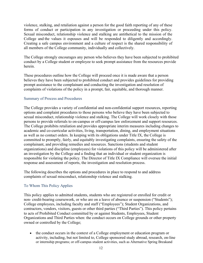violence, stalking, and retaliation against a person for the good faith reporting of any of these forms of conduct or participation in any investigation or proceeding under this policy. Sexual misconduct, relationship violence and stalking are antithetical to the mission of the College and the values it espouses and will be responded to diligently and accordingly. Creating a safe campus environment and a culture of respect is the shared responsibility of all members of the College community, individually and collectively.

The College strongly encourages any person who believes they have been subjected to prohibited conduct by a College student or employee to seek prompt assistance from the resources provide herein.

These procedures outline how the College will proceed once it is made aware that a person believes they have been subjected to prohibited conduct and provides guidelines for providing prompt assistance to the complainant and conducting the investigation and resolution of complaints of violations of the policy in a prompt, fair, equitable, and thorough manner.

#### Summary of Process and Procedures

The College provides a variety of confidential and non-confidential support resources, reporting options and complaint procedures to those persons who believe they have been subjected to sexual misconduct, relationship violence and stalking. The College will work closely with those persons to provide referrals to on-campus or off-campus law enforcement and support resources. The College prohibits retaliation and provides appropriate interim measures including changes to academic and co-curricular activities, living, transportation, dining, and employment situations as well as no contact orders. In keeping with its obligations under Title IX, the College is committed to promptly, fairly, and equitably investigating complaints, ensuring the safety of the complainant, and providing remedies and resources. Sanctions (students and student organizations) and discipline (employees) for violations of this policy will be administered after an investigation by the College and a finding that an individual or student organization is responsible for violating the policy. The Director of Title IX Compliance will oversee the initial response and assessment of reports, the investigation and resolution process.

The following describes the options and procedures in place to respond to and address complaints of sexual misconduct, relationship violence and stalking.

#### To Whom This Policy Applies

This policy applies to admitted students, students who are registered or enrolled for credit or non- credit-bearing coursework, or who are on a leave of absence or suspension ("Students"); College employees, including faculty and staff ("Employees"); Student Organizations, and contractors, vendors, visitors, guests or other third parties ("Third Parties"). This policy pertains to acts of Prohibited Conduct committed by or against Students, Employees, Student Organizations and Third Parties when: the conduct occurs on College grounds or other property owned or controlled by the College;

• the conduct occurs in the context of a College employment or education program or activity, including, but not limited to, College sponsored study abroad, research, on-line or internship programs; or off-campus student activities, such as Alternative Spring Breakand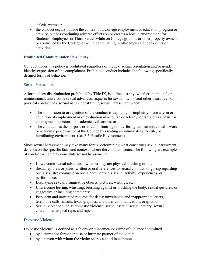athletic events; or

• the conduct occurs outside the context of a College employment or education program or activity, but has continuing adverse effects on or creates a hostile environment for Students, Employees or Third Parties while on College grounds or other property owned or controlled by the College or while participating in off-campus College events or activities.

#### **Prohibited Conduct under This Policy**

Conduct under this policy is prohibited regardless of the sex, sexual orientation and/or gender identity/expression of the complainant. Prohibited conduct includes the following specifically defined forms of behavior.

#### Sexual Harassment

A form of sex discrimination prohibited by Title IX, is defined as any, whether intentional or unintentional, unwelcome sexual advances, requests for sexual favors, and other visual, verbal or physical conduct of a sexual nature constituting sexual harassment when:

- The submission to or rejection of the conduct is explicitly or implicitly made a term or condition of employment or of evaluation in a course or activity, or is used as a basis for employment decisions or academic evaluations; or
- The conduct has the purpose or effect of limiting or interfering with an individual's work or academic performance at the College by creating an intimidating, hostile, or humiliating environment. (see 3.5 Hostile Environment).

Since sexual harassment may take many forms, determining what constitutes sexual harassment depends on the specific facts and contexts where the conduct occurs. The following are examples of conduct which may constitute sexual harassment:

- Unwelcome sexual advances whether they are physical touching or not;
- Sexual epithets or jokes, written or oral references to sexual conduct, or gossip regarding one's sex life; comment on one's body, or one's sexual activity, experiences, or performance;
- Displaying sexually suggestive objects, pictures, writings, etc.;
- Unwelcome leering, whistling, brushing against or touching the body, sexual gestures, or suggestive or insulting comments;
- Persistent and unwanted requests for dates; unwelcome and inappropriate letters, telephone calls, emails, texts, graphics, and other communications or gifts; or
- Sexual violence such as domestic violence, sexual assault, sexual battery, sexual coercion, attempted rape, and rape.

#### Domestic Violence

Domestic violence is defined as a felony or misdemeanor crime of violence committed

- by a current or former spouse or intimate partner of the victim.
- by a person with whom the victim shares a child in common.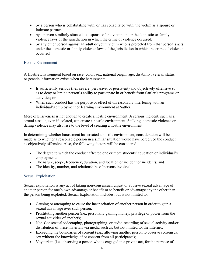- by a person who is cohabitating with, or has cohabitated with, the victim as a spouse or intimate partner.
- by a person similarly situated to a spouse of the victim under the domestic or family violence laws of the jurisdiction in which the crime of violence occurred;
- by any other person against an adult or youth victim who is protected from that person's acts under the domestic or family violence laws of the jurisdiction in which the crime of violence occurred.

#### Hostile Environment

A Hostile Environment based on race, color, sex, national origin, age, disability, veteran status, or genetic information exists when the harassment:

- Is sufficiently serious (i.e., severe, pervasive, or persistent) and objectively offensive so as to deny or limit a person's ability to participate in or benefit from Sattler's programs or activities; or
- When such conduct has the purpose or effect of unreasonably interfering with an individual's employment or learning environment at Sattler.

Mere offensiveness is not enough to create a hostile environment. A serious incident, such as a sexual assault, even if isolated, can create a hostile environment. Stalking, domestic violence or dating violence may also rise to the level of creating a hostile environment.

In determining whether harassment has created a hostile environment, consideration will be made as to whether a reasonable person in a similar situation would have perceived the conduct as objectively offensive. Also, the following factors will be considered:

- The degree to which the conduct affected one or more students' education or individual's employment;
- The nature, scope, frequency, duration, and location of incident or incidents; and
- The identity, number, and relationships of persons involved.

#### Sexual Exploitation

Sexual exploitation is any act of taking non-consensual, unjust or abusive sexual advantage of another person for one's own advantage or benefit or to benefit or advantage anyone other than the person being exploited. Sexual Exploitation includes, but is not limited to:

- Causing or attempting to cause the incapacitation of another person in order to gain a sexual advantage over such person;
- Prostituting another person (i.e., personally gaining money, privilege or power from the sexual activities of another);
- Non-Consensual videotaping, photographing, or audio-recording of sexual activity and/or distribution of these materials via media such as, but not limited to, the Internet;
- Exceeding the boundaries of consent (e.g., allowing another person to observe consensual sex without the knowledge of or consent from all participants);
- Voyeurism (i.e., observing a person who is engaged in a private act, for the purpose of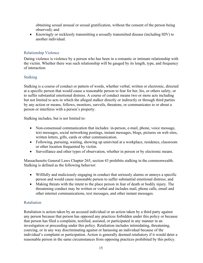obtaining sexual arousal or sexual gratification, without the consent of the person being observed); and

• Knowingly or recklessly transmitting a sexually transmitted disease (including HIV) to another individual.

#### Relationship Violence

Dating violence is violence by a person who has been in a romantic or intimate relationship with the victim. Whether there was such relationship will be gauged by its length, type, and frequency of interaction.

#### Stalking

Stalking is a course of conduct or pattern of words, whether verbal, written or electronic, directed at a specific person that would cause a reasonable person to fear for her, his, or others safety, or to suffer substantial emotional distress. A course of conduct means two or more acts including but not limited to acts in which the alleged stalker directly or indirectly or through third parties by any action or means, follows, monitors, surveils, threatens, or communicates to or about a person or interferes with a person's property.

Stalking includes, but is not limited to:

- Non-consensual communication that includes: in-person, e-mail, phone, voice message, text messages, social networking postings, instant messages, blogs, pictures on web sites, written letters, gifts, cards or other communication.
- Following, pursuing, waiting, showing up uninvited at a workplace, residence, classroom or other location frequented by victim.
- Surveillance and other types of observation, whether in person or by electronic means.

Massachusetts General Laws Chapter 265, section 43 prohibits stalking in the commonwealth. Stalking is defined as the following behavior:

- Willfully and maliciously engaging in conduct that seriously alarms or annoys a specific person and would cause reasonable person to suffer substantial emotional distress; and
- Making threats with the intent to the place person in fear of death or bodily injury. The threatening conduct may be written or verbal and includes mail, phone calls, email and other internet communications, text messages, and other instant messages.

#### Retaliation

Retaliation is action taken by an accused individual or an action taken by a third party against any person because that person has opposed any practices forbidden under this policy or because that person has filed a complaint, testified, assisted, or participated in any manner in an investigation or proceeding under this policy. Retaliation includes intimidating, threatening, coercing, or in any way discriminating against or harassing an individual because of the individual's complaint or participation. Action is generally deemed retaliatory if it would deter a reasonable person in the same circumstances from opposing practices prohibited by this policy.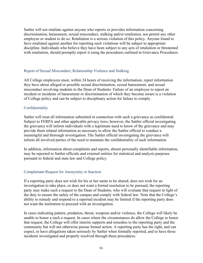Sattler will not retaliate against anyone who reports or provides information concerning discrimination, harassment, sexual misconduct, stalking and/or retaliation, nor permit any other employee or student to do so. Retaliation is a serious violation of this policy. Anyone found to have retaliated against another for reporting such violations will be subject to appropriate discipline. Individuals who believe they have been subject to any acts of retaliation or threatened with retaliation, should promptly report it using the procedures outlined in Grievance Procedures.

#### Report of Sexual Misconduct, Relationship Violence and Stalking

All College employees must, within 24 hours of receiving the information, report information they have about alleged or possible sexual discrimination, sexual harassment, and sexual misconduct involving students to the Dean of Students. Failure of an employee to report an incident or incidents of harassment or discrimination of which they become aware is a violation of College policy and can be subject to disciplinary action for failure to comply.

#### Confidentiality

Sattler will treat all information submitted in connection with such a grievance as confidential. Subject to FERPA and other applicable privacy laws, however, the Sattler official investigating the grievance will inform individuals with a legitimate need to know of the grievance and may provide them related information as necessary to allow the Sattler official to conduct a meaningful and thorough investigation. The Sattler official investigating the grievance will inform all involved parties of the need to maintain the confidentiality of such information.

In addition, information about complaints and reports, absent personally identifiable information, may be reported to Sattler officials and external entities for statistical and analysis purposes pursuant to federal and state law and College policy.

#### Complainant Request for Anonymity or Inaction

If a reporting party does not wish for his or her name to be shared, does not wish for an investigation to take place, or does not want a formal resolution to be pursued, the reporting party may make such a request to the Dean of Students, who will evaluate that request in light of the duty to ensure the safety of the campus and comply with federal law. Note that the College's ability to remedy and respond to a reported incident may be limited if the reporting party does not want the institution to proceed with an investigation.

In cases indicating pattern, predation, threat, weapons and/or violence, the College will likely be unable to honor a such a request. In cases where the circumstances do allow the College to honor that request, the College will offer interim supports and remedies to the reporting party and the community but will not otherwise pursue formal action. A reporting party has the right, and can expect, to have allegations taken seriously by Sattler when formally reported, and to have those incidents investigated and properly resolved through these procedures.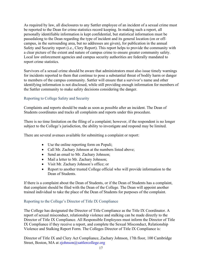As required by law, all disclosures to any Sattler employee of an incident of a sexual crime must be reported to the Dean for crime statistics record keeping. In making such a report, all personally identifiable information is kept confidential, but statistical information must be passedalong to the Dean regarding the type of incident and its general location (on or offcampus, in the surrounding area, but no addresses are given), for publication in the annual Safety and Security report (i.e., Clery Report). This report helps to provide the community with a clear picture of the extent and nature of campus crime to ensure greater community safety. Local law enforcement agencies and campus security authorities are federally mandated to report crime statistics.

Survivors of a sexual crime should be aware that administrators must also issue timely warnings for incidents reported to them that continue to pose a substantial threat of bodily harm or danger to members of the campus community. Sattler will ensure that a survivor's name and other identifying information is not disclosed, while still providing enough information for members of the Sattler community to make safety decisions considering the danger.

#### Reporting to College Safety and Security

Complaints and reports should be made as soon as possible after an incident. The Dean of Students coordinates and tracks all complaints and reports under this procedure.

There is no time limitation on the filing of a complaint; however, if the respondent is no longer subject to the College's jurisdiction, the ability to investigate and respond may be limited.

There are several avenues available for submitting a complaint or report:

- Use the online reporting form on Populi;
- Call Mr. Zachary Johnson at the numbers listed above;
- Send an email to Mr. Zachary Johnson;
- Mail a letter to Mr. Zachary Johnson;
- Visit Mr. Zachary Johnson's office; or
- Report to another trusted College official who will provide information to the Dean of Students.

If there is a complaint about the Dean of Students, or if the Dean of Students has a complaint, that complaint should be filed with the Dean of the College. The Dean will appoint another trained individual to take the place of the Dean of Students for purposes of the complaint.

#### Reporting to the College's Director of Title IX Compliance

The College has designated the Director of Title Compliance as the Title IX Coordinator. A report of sexual misconduct, relationship violence and stalking can be made directly to the Director of Title IX Compliance. All Responsible Employees must inform the Director of Title IX Compliance if they receive a report, and complete the Sexual Misconduct, Relationship Violence and Stalking Report Form. The Colleges Director of Title IX Compliance is:

Director of Title IX and Clery Act Compliance, Zachary Johnson, 17th floor, 100 Cambridge Street, Boston, MA at [zjohnson@sattlercollege.org](mailto:zjohnson@sattlercollege.org)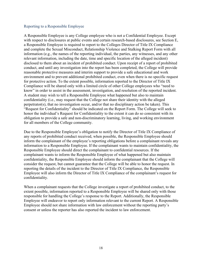#### Reporting to a Responsible Employee

A Responsible Employee is any College employee who is not a Confidential Employee. Except with respect to disclosures at public events and certain research-based disclosures, see Section E, a Responsible Employee is required to report to the Colleges Director of Title IX Compliance and complete the Sexual Misconduct, Relationship Violence and Stalking Report Form with all information (e.g., the names of the reporting individual, the parties, any witnesses, and any other relevant information, including the date, time and specific location of the alleged incident) disclosed to them about an incident of prohibited conduct. Upon receipt of a report of prohibited conduct, and until any investigation into the report has been completed, the College will provide reasonable protective measures and interim support to provide a safe educational and work environment and to prevent additional prohibited conduct, even when there is no specific request for protective action. To the extent possible, information reported to the Director of Title IX Compliance will be shared only with a limited circle of other College employees who "need to know" in order to assist in the assessment, investigation, and resolution of the reported incident. A student may wish to tell a Responsible Employee what happened but also to maintain confidentiality (i.e., may request that the College not share their identity with the alleged perpetrator(s), that no investigation occur, and/or that no disciplinary action be taken). This "Request for Confidentiality" should be indicated on the Report Form. The College will seek to honor the individual's Request for Confidentiality to the extent it can do so consistent with its obligation to provide a safe and non-discriminatory learning, living, and working environment for all members of the College community.

Due to the Responsible Employee's obligation to notify the Director of Title IX Compliance of any reports of prohibited conduct received, when possible, the Responsible Employee should inform the complainant of the employee's reporting obligations before a complainant reveals any information to a Responsible Employee. If the complainant wants to maintain confidentiality, the Responsible Employee should direct the complainant to confidential resources. If the complainant wants to inform the Responsible Employee of what happened but also maintain confidentiality, the Responsible Employee should inform the complainant that the College will consider the request, but cannot guarantee that the College will be able to honor the request. In reporting the details of the incident to the Director of Title IX Compliance, the Responsible Employee will also inform the Director of Title IX Compliance of the complainant's request for confidentiality.

When a complainant requests that the College investigate a report of prohibited conduct, to the extent possible, information reported to a Responsible Employee will be shared only with those responsible for handling the College's response to the Report. Additionally, the Responsible Employee will endeavor to report only information relevant to the current Report. A Responsible Employee should not share information with law enforcement without the reporting party's consent or unless the reporter has also reported the incident to law enforcement.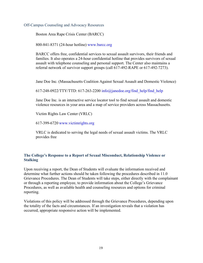Off-Campus Counseling and Advocacy Resources

Boston Area Rape Crisis Center (BARCC)

800-841-8371 (24-hour hotline) [www.barcc.org](http://www.barcc.org/)

BARCC offers free, confidential services to sexual assault survivors, their friends and families. It also operates a 24-hour confidential hotline that provides survivors of sexual assault with telephone counseling and personal support. The Center also maintains a referral network of survivor support groups (call 617-492-RAPE or 617-492-7273).

Jane Doe Inc. (Massachusetts Coalition Against Sexual Assault and Domestic Violence)

617-248-0922/TTY/TTD: 617-263-2200  $info(\hat{\omega})$  anedoe.org/find help/find help

Jane Doe Inc. is an interactive service locator tool to find sexual assault and domestic violence resources in your area and a map of service providers across Massachusetts.

Victim Rights Law Center (VRLC)

617-399-6720 [www.victimrights.org](http://www.victimrights.org/)

VRLC is dedicated to serving the legal needs of sexual assault victims. The VRLC provides free

#### **The College's Response to a Report of Sexual Misconduct, Relationship Violence or Stalking**

Upon receiving a report, the Dean of Students will evaluate the information received and determine what further actions should be taken following the procedures described in 11.0 Grievance Procedures. The Dean of Students will take steps, either directly with the complainant or through a reporting employee, to provide information about the College's Grievance Procedures, as well as available health and counseling resources and options for criminal reporting.

Violations of this policy will be addressed through the Grievance Procedures, depending upon the totality of the facts and circumstances. If an investigation reveals that a violation has occurred, appropriate responsive action will be implemented.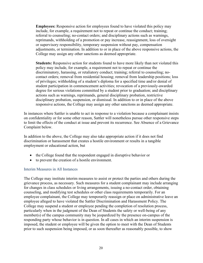**Employees:** Responsive action for employees found to have violated this policy may include, for example, a requirement not to repeat or continue the conduct; training; referral to counseling; no-contact orders; and disciplinary actions such as warnings, reprimands, withholding of a promotion or pay increase, reassignment, loss of oversight or supervisory responsibility, temporary suspension without pay, compensation adjustments, or termination. In addition to or in place of the above responsive actions, the College may assign any other sanctions as deemed appropriate.

**Students:** Responsive action for students found to have more likely than not violated this policy may include, for example, a requirement not to repeat or continue the discriminatory, harassing, or retaliatory conduct; training; referral to counseling; nocontact orders; removal from residential housing; removal from leadership positions; loss of privileges; withholding of a student's diploma for a specified time and/or denial of student participation in commencement activities; revocation of a previously-awarded degree for serious violations committed by a student prior to graduation; and disciplinary actions such as warnings, reprimands, general disciplinary probation, restrictive disciplinary probation, suspension, or dismissal. In addition to or in place of the above responsive actions, the College may assign any other sanctions as deemed appropriate.

In instances where Sattler is unable to act in response to a violation because a complainant insists on confidentiality or for some other reason, Sattler will nonetheless pursue other responsive steps to limit the effects of the conduct at issue and prevent its recurrence. See Absence of a Grievance Complaint below.

In addition to the above, the College may also take appropriate action if it does not find discrimination or harassment that creates a hostile environment or results in a tangible employment or educational action, but

- the College found that the respondent engaged in disruptive behavior or
- to prevent the creation of a hostile environment.

#### Interim Measures in All Instances

The College may institute interim measures to assist or protect the parties and others during the grievance process, as necessary. Such measures for a student complainant may include arranging for changes in class schedules or living arrangements, issuing a no-contact order, obtaining counseling, and modifying test schedules or other class requirements temporarily. For an employee complainant, the College may temporarily reassign or place on administrative leave an employee alleged to have violated the Sattler Discrimination and Harassment Policy. The College may suspend a student or employee pending the completion of resolution process, particularly when in the judgment of the Dean of Students the safety or well-being of any member(s) of the campus community may be jeopardized by the presence on-campus of the responding party whose behavior is in question. In all cases in which an interim suspension is imposed, the student or employee will be given the option to meet with the Dean of Students prior to such suspension being imposed, or as soon thereafter as reasonably possible, to show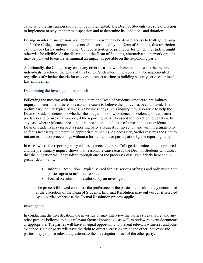cause why the suspension should not be implemented. The Dean of Students has sole discretion to implement or stay an interim suspension and to determine its conditions and duration.

During an interim suspension, a student or employee may be denied access to College housing and/or the College campus and events. As determined by the Dean of Students, this restriction can include classes and/or all other College activities or privileges for which the student might otherwise be eligible. At the discretion of the Dean of Students, alternative coursework options may be pursued to ensure as minimal an impact as possible on the responding party.

Additionally, the College may enact any other measure which can be tailored to the involved individuals to achieve the goals of this Policy. Such interim measures may be implemented regardless of whether the victim chooses to report a crime to building security services or local law enforcement.

#### Determining the Investigation Approach

Following the meeting with the complainant, the Dean of Students conducts a preliminary inquiry to determine if there is reasonable cause to believe the policy has been violated. The preliminary inquiry typically takes 1-3 business days. This inquiry may also serve to help the Dean of Students determine whether the allegations show evidence of violence, threat, pattern, predation and/or use of a weapon, if the reporting party has asked for no action to be taken. In any case where violence, threat, pattern, predation, and/or use of a weapon is not evidenced, the Dean of Students may respect a reporting party's request for no action and will investigate only so far as necessary to determine appropriate remedies. As necessary, Sattler reserves the right to initiate resolution proceedings without a formal report or participation by the reporting party.

In cases where the reporting party wishes to proceed, or the College determines it must proceed, and the preliminary inquiry shows that reasonable cause exists, the Dean of Students will direct that the allegation will be resolved through one of the processes discussed briefly here and in greater detail below:

- Informal Resolution typically used for less serious offenses and only when both parties agree to informal resolution
- Formal Resolution resolution by an investigator

The process followed considers the preference of the parties but is ultimately determined at the discretion of the Dean of Students. Informal Resolution may only occur if selected by all parties, otherwise the Formal Resolution process applies.

# Investigation

In conducting the investigation, the investigator may interview the parties (if available) and any other persons believed to have relevant factual knowledge, as well as review relevant documents as appropriate. The parties will have an equal opportunity to present relevant witnesses and other evidence. Neither party will have the right to directly cross-examine the other; however, the parties may propose relevant questions to the investigator to ask of the other party.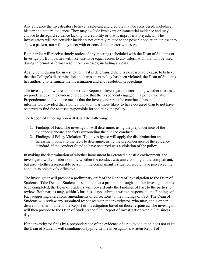Any evidence the investigators believe is relevant and credible may be considered, including history and pattern evidence. They may exclude irrelevant or immaterial evidence and may choose to disregard evidence lacking in credibility or that is improperly prejudicial. The investigators will not consider incidents not directly related to the possible violation, unless they show a pattern, nor will they meet with or consider character witnesses.

Both parties will receive timely notice of any meetings scheduled with the Dean of Students or Investigator. Both parties will likewise have equal access to any information that will be used during informal or formal resolution processes, including appeals.

At any point during the investigation, if it is determined there is no reasonable cause to believe that the College's discrimination and harassment policy has been violated, the Dean of Students has authority to terminate the investigation and end resolution proceedings.

The investigation will result in a written Report of Investigation determining whether there is a preponderance of the evidence to believe that the respondent engaged in a policy violation. Preponderance of evidence means that the investigator must be convinced based on the information provided that a policy violation was more likely to have occurred than to not have occurred to find the accused responsible for violating the policy.

The Report of Investigation will detail the following:

- 1. Findings of Fact. The investigator will determine, using the preponderance of the evidence standard, the facts surrounding the alleged conduct.
- 2. Findings of Policy Violation. The investigator will apply the discrimination and harassment policy to the facts to determine, using the preponderance of the evidence standard, if the conduct found to have occurred was a violation of the policy.

In making the determination of whether harassment has created a hostile environment, the investigator will consider not only whether the conduct was unwelcoming to the complainant, but also whether a reasonable person in the complainant's situation would have perceived the conduct as objectively offensive.

The investigator will provide a preliminary draft of the Report of Investigation to the Dean of Students. If the Dean of Students is satisfied that a prompt, thorough and fair investigation has been completed, the Dean of Students will forward only the Findings of Fact to the parties to review. Both parties may, within 3 business days, submit a written response to the Findings of Fact suggesting alterations, amendments or corrections to the Findings of Fact. The Dean of Students will review any submitted responses with the investigator, who may, at his or her discretion, alter or amend the Report of Investigation based on those responses. The investigator will then provide to the Dean of Students the final Report of Investigation within 3 business days.

If the investigator finds by a preponderance of the evidence of a policy violation does not exist, the Dean of Students will simultaneously provide the investigator's written Report of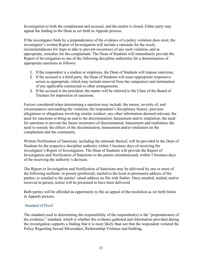Investigation to both the complainant and accused, and the matter is closed. Either party may appeal the finding to the Dean as set forth in Appeals process.

If the investigator finds by a preponderance of the evidence of a policy violation does exist, the investigator's written Report of Investigation will include a rationale for the result, recommendations for steps to take to prevent recurrence of any such violation, and as appropriate, remedies for the complainant. The Dean of Students will immediately provide the Report of Investigation to one of the following discipline authorities for a determination of appropriate sanctions as follows:

- 1. If the respondent is a student or employee, the Dean of Students will impose sanctions;
- 2. If the accused is a third party, the Dean of Students will enact appropriate responsive action as appropriate, which may include removal from the campus(es) and termination of any applicable contractual or other arrangements.
- 3. If the accused is the president, the matter will be referred to the Chair of the Board of Trustees for imposition of sanctions;

Factors considered when determining a sanction may include: the nature, severity of, and circumstances surrounding the violation; the respondent's disciplinary history; previous allegations or allegations involving similar conduct; any other information deemed relevant; the need for sanctions to bring an end to the discrimination, harassment and/or retaliation; the need for sanctions to prevent the future recurrence of discrimination, harassment and retaliation; the need to remedy the effects of the discrimination, harassment and/or retaliation on the complainant and the community.

Written Notification of Sanctions, including the rationale thereof, will be provided to the Dean of Students by the respective discipline authority within 5 business days of receiving the investigator's Report of Investigation. The Dean of Students will provide the Report of Investigation and Notification of Sanctions to the parties simultaneously within 5 business days of the receiving the authority's decision.

The Report or Investigation and Notification of Sanctions may be delivered by one or more of the following methods: in person (preferred); mailed to the local or permanent address of the parties; or emailed to the parties' email address on file with Sattler. Once emailed, mailed, and/or received in person, notice will be presumed to have been delivered

Both parties will be afforded an opportunity to file an appeal of the resolution as set forth below in Appeals process.

#### Standard of Proof

The standard used in determining the responsibility of the respondent(s) is the "preponderance of the evidence," standard, which is whether the evidence gathered and information provided during the investigation supports a finding that it is more likely than not that the respondent violated the Policy Regarding Sexual Misconduct, Relationship Violence and Stalking.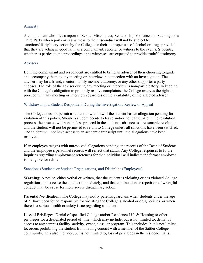#### Amnesty

A complainant who files a report of Sexual Misconduct, Relationship Violence and Stalking, or a Third Party who reports or is a witness to the misconduct will not be subject to sanctions/disciplinary action by the College for their improper use of alcohol or drugs provided that they are acting in good faith as a complainant, reporter or witness to the events. Students, whether as parties to the proceedings or as witnesses, are expected to provide truthful testimony.

#### **Advisers**

Both the complainant and respondent are entitled to bring an adviser of their choosing to guide and accompany them to any meeting or interview in connection with an investigation. The adviser may be a friend, mentor, family member, attorney, or any other supporter a party chooses. The role of the adviser during any meeting or interview is non-participatory. In keeping with the College's obligation to promptly resolve complaints, the College reserves the right to proceed with any meeting or interview regardless of the availability of the selected adviser.

#### Withdrawal of a Student Respondent During the Investigation, Review or Appeal

The College does not permit a student to withdraw if the student has an allegation pending for violation of this policy. Should a student decide to leave and/or not participate in the resolution process, the process will nonetheless proceed in the student's absence to a reasonable resolution and the student will not be permitted to return to College unless all sanctions have been satisfied. The student will not have access to an academic transcript until the allegations have been resolved.

If an employee resigns with unresolved allegations pending, the records of the Dean of Students and the employee's personnel records will reflect that status. Any College responses to future inquiries regarding employment references for that individual will indicate the former employee is ineligible for rehire.

#### Sanctions (Students or Student Organizations) and Discipline (Employees)

**Warning:** A notice, either verbal or written, that the student is violating or has violated College regulations, must cease the conduct immediately, and that continuation or repetition of wrongful conduct may be cause for more severe disciplinary action.

**Parental Notification:** The College may notify parents/guardians when students under the age of 21 have been found responsible for violating the College's alcohol or drug policies, or when there is a serious health or safety issue regarding a student.

**Loss of Privileges**: Denial of specified College and/or Residence Life & Housing or other privileges for a designated period of time, which may include, but is not limited to, denial of access to any campus facility, activity, event, class, or program. This includes, but is not limited to, orders prohibiting the student from having contact with a member of the Sattler College community. This also includes, but is not limited to, loss of privileges in the residence halls,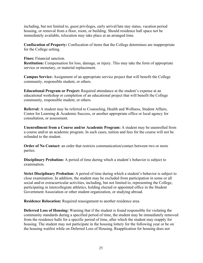including, but not limited to, guest privileges, early arrival/late stay status, vacation period housing, or removal from a floor, room, or building. Should residence hall space not be immediately available, relocation may take place at an arranged time.

**Confiscation of Property:** Confiscation of items that the College determines are inappropriate for the College setting.

**Fines:** Financial sanction.

**Restitution:** Compensation for loss, damage, or injury. This may take the form of appropriate service or monetary, or material replacement.

**Campus Service:** Assignment of an appropriate service project that will benefit the College community, responsible student, or others.

**Educational Program or Project:** Required attendance at the student's expense at an educational workshop or completion of an educational project that will benefit the College community, responsible student, or others.

**Referral:** A student may be referred to Counseling, Health and Wellness, Student Affairs, Center for Learning & Academic Success, or another appropriate office or local agency for consultation, or assessment.

**Unenrollment from a Course and/or Academic Program:** A student may be unenrolled from a course and/or an academic program. In such cases, tuition and fees for the course will not be refunded to the student.

**Order of No Contact:** an order that restricts communication/contact between two or more parties.

**Disciplinary Probation:** A period of time during which a student's behavior is subject to examination.

**Strict Disciplinary Probation:** A period of time during which a student's behavior is subject to close examination. In addition, the student may be excluded from participation in some or all social and/or extracurricular activities, including, but not limited to, representing the College, participating in intercollegiate athletics, holding elected or appointed office in the Student Government Association or other student organization, or studying abroad.

**Residence Relocation:** Required reassignment to another residence area.

**Deferred Loss of Housing:** Warning that if the student is found responsible for violating the community standards during a specified period of time, the student may be immediately removed from the residence halls for a specific period of time, after which the student may reapply for housing. The student may not participate in the housing lottery for the following year or be on the housing waitlist while on Deferred Loss of Housing. Reapplication for housing does not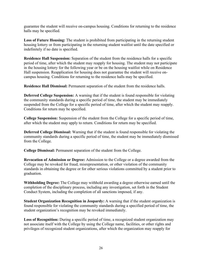guarantee the student will receive on-campus housing. Conditions for returning to the residence halls may be specified.

**Loss of Future Housing:** The student is prohibited from participating in the returning student housing lottery or from participating in the returning student waitlist until the date specified or indefinitely if no date is specified.

**Residence Hall Suspension:** Separation of the student from the residence halls for a specific period of time, after which the student may reapply for housing. The student may not participate in the housing lottery for the following year or be on the housing waitlist while on Residence Hall suspension. Reapplication for housing does not guarantee the student will receive oncampus housing. Conditions for returning to the residence halls may be specified.

**Residence Hall Dismissal:** Permanent separation of the student from the residence halls.

**Deferred College Suspension:** A warning that if the student is found responsible for violating the community standards during a specific period of time, the student may be immediately suspended from the College for a specific period of time, after which the student may reapply. Conditions for return may be specified.

**College Suspension:** Suspension of the student from the College for a specific period of time, after which the student may apply to return. Conditions for return may be specified.

**Deferred College Dismissal:** Warning that if the student is found responsible for violating the community standards during a specific period of time, the student may be immediately dismissed from the College.

**College Dismissal:** Permanent separation of the student from the College.

**Revocation of Admission or Degree:** Admission to the College or a degree awarded from the College may be revoked for fraud, misrepresentation, or other violation of the community standards in obtaining the degree or for other serious violations committed by a student prior to graduation.

**Withholding Degree:** The College may withhold awarding a degree otherwise earned until the completion of the disciplinary process, including any investigation, set forth in the Student Conduct System, including the completion of all sanctions imposed, if any.

**Student Organization Recognition in Jeopardy:** A warning that if the student organization is found responsible for violating the community standards during a specified period of time, the student organization's recognition may be revoked immediately.

**Loss of Recognition:** During a specific period of time, a recognized student organization may not associate itself with the College by using the College name, facilities, or other rights and privileges of recognized student organizations, after which the organization may reapply for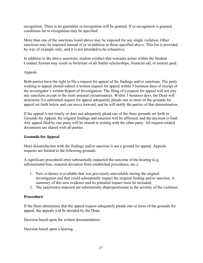recognition. There is no guarantee re-recognition will be granted. If re-recognition is granted, conditions for re-recognition may be specified.

More than one of the sanctions listed above may be imposed for any single violation. Other sanctions may be imposed instead of or in addition to those specified above. This list is provided by way of example only, and it is not intended to be exhaustive.

In addition to the above sanctions, student conduct that warrants action within the Student Conduct System may result in forfeiture of all Sattler scholarships, financial aid, or monies paid.

#### Appeals

Both parties have the right to file a request for appeal of the findings and/or sanctions. The party wishing to appeal should submit a written request for appeal within 5 business days of receipt of the investigator's written Report of Investigation. The filing of a request for appeal will not stay any sanctions except in the most unusual circumstances. Within 3 business days, the Dean will determine if a submitted request for appeal adequately pleads one or more of the grounds for appeal set forth below and can move forward, and he will notify the parties of that determination.

If the appeal is not timely or does not adequately plead one of the three grounds set forth in Grounds for Appeal, the original findings and sanction will be affirmed, and the decision is final. Any appeal filed by one party will be shared in writing with the other party. All request-related documents are shared with all parties.

#### **Grounds for Appeal**

Mere dissatisfaction with the findings and/or sanction is not a ground for appeal. Appeals requests are limited to the following grounds:

A significant procedural error substantially impacted the outcome of the hearing (e.g. substantiated bias, material deviation from established procedures, etc.);

- 1. New evidence is available that was previously unavailable during the original investigation and that could substantially impact the original finding and/or sanction. A summary of this new evidence and its potential impact must be included;
- 2. The sanction(s) imposed are substantially disproportionate to the severity of the violation.

#### **Procedure**

If the Dean determines that the appeal request adequately pleads one or more of the grounds for appeal, the appeals will be decided by the Dean.

Decision based upon the written documentation.

Decision based upon a hearing.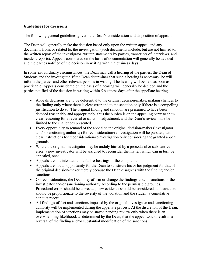#### **Guidelines for decisions.**

The following general guidelines govern the Dean's consideration and disposition of appeals:

The Dean will generally make the decision based only upon the written appeal and any documents from, or related to, the investigation (such documents include, but are not limited to, the written report of the investigator, written statements by parties, transcripts of interviews, and incident reports). Appeals considered on the basis of documentation will generally be decided and the parties notified of the decision in writing within 5 business days.

In some extraordinary circumstances, the Dean may call a hearing of the parties, the Dean of Students and the investigator. If the Dean determines that such a hearing is necessary, he will inform the parties and other relevant persons in writing. The hearing will be held as soon as practicable. Appeals considered on the basis of a hearing will generally be decided and the parties notified of the decision in writing within 5 business days after the appellate hearing.

- Appeals decisions are to be deferential to the original decision-maker, making changes to the finding only where there is clear error and to the sanction only if there is a compelling justification to do so. The original finding and sanction are presumed to have been decided reasonably and appropriately, thus the burden is on the appealing party to show clear reasoning for a reversal or sanction adjustment, and the Dean's review must be limited to the challenges presented.
- Every opportunity to remand of the appeal to the original decision-maker (investigator and/or sanctioning authority) for reconsideration/reinvestigation will be pursued, with clear instructions for reconsideration/reinvestigation only considering the granted appeal grounds.
- Where the original investigator may be unduly biased by a procedural or substantive error, a new investigator will be assigned to reconsider the matter, which can in turn be appealed, once.
- Appeals are not intended to be full re-hearings of the complaint.
- Appeals are not an opportunity for the Dean to substitute his or her judgment for that of the original decision-maker merely because the Dean disagrees with the finding and/or sanctions.
- On reconsideration, the Dean may affirm or change the findings and/or sanctions of the investigator and/or sanctioning authority according to the permissible grounds. Procedural errors should be corrected, new evidence should be considered, and sanctions should be proportionate to the severity of the violation and the student's cumulative conduct record.
- All findings of fact and sanctions imposed by the original investigator and sanctioning authority will be implemented during the appellate process. At the discretion of the Dean, implementation of sanctions may be stayed pending review only when there is an overwhelming likelihood, as determined by the Dean, that the appeal would result in a reversal of the finding and/or substantial modification of the sanctions.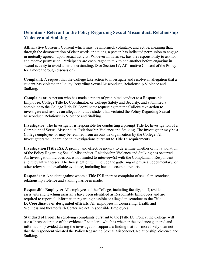# **Definitions Relevant to the Policy Regarding Sexual Misconduct, Relationship Violence and Stalking**

**Affirmative Consent:** Consent which must be informed, voluntary, and active, meaning that, through the demonstration of clear words or actions, a person has indicated permission to engage in mutually agreed –upon sexual activity. Whoever initiates sex has the responsibility to ask for and receive permission. Participants are encouraged to talk to one another before engaging in sexual activity to avoid a misunderstanding. (See Section IV, Affirmative Consent of the Policy for a more thorough discussion).

**Complaint:** A request that the College take action to investigate and resolve an allegation that a student has violated the Policy Regarding Sexual Misconduct, Relationship Violence and Stalking.

**Complainant:** A person who has made a report of prohibited conduct to a Responsible Employee, College Title IX Coordinator, or College Safety and Security, and submitted a complaint to the College Title IX Coordinator requesting that the College take action to investigate and resolve an allegation that a student has violated the Policy Regarding Sexual Misconduct, Relationship Violence and Stalking.

**Investigator:** The Investigator is responsible for conducting a prompt Title IX Investigation of a Complaint of Sexual Misconduct, Relationship Violence and Stalking. The Investigator may be a College employee, or may be retained from an outside organization by the College. All Investigators will be trained in investigations pursuant to Title IX requirements.

**Investigation (Title IX):** A prompt and effective inquiry to determine whether or not a violation of the Policy Regarding Sexual Misconduct, Relationship Violence and Stalking has occurred. An Investigation includes but is not limited to interview(s) with the Complainant, Respondent and relevant witnesses. The Investigation will include the gathering of physical, documentary, or other relevant and available evidence, including law enforcement reports.

**Respondent:** A student against whom a Title IX Report or complaint of sexual misconduct, relationship violence and stalking has been made.

**Responsible Employee:** All employees of the College, including faculty, staff, resident assistants and teaching assistants have been identified as Responsible Employees and are required to report all information regarding possible or alleged misconduct to the Title IX **Coordinator or designated officials.** All employees in Counseling, Health and Wellness and theInterfaith Center are not Responsible Employees.

**Standard of Proof:** In resolving complaints pursuant to the [Title IX] Policy, the College will use a "preponderance of the evidence," standard, which is whether the evidence gathered and information provided during the investigation supports a finding that it is more likely than not that the respondent violated the Policy Regarding Sexual Misconduct, Relationship Violence and Stalking.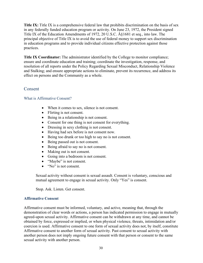**Title IX:** Title IX is a comprehensive federal law that prohibits discrimination on the basis of sex in any federally funded education program or activity. On June 23, 1972, the President signed Title IX of the Education Amendments of 1972, 20 U.S.C.  $\hat{A}\$ <sub>§1681</sub> et seq., into law. The principal objective of Title IX is to avoid the use of federal money to support sex discrimination in education programs and to provide individual citizens effective protection against those practices.

**Title IX Coordinator:** The administrator identified by the College to monitor compliance; ensure and coordinate education and training; coordinate the investigation, response, and resolution of all reports under the Policy Regarding Sexual Misconduct, Relationship Violence and Stalking; and ensure appropriate actions to eliminate, prevent its recurrence, and address its effect on persons and the Community as a whole.

# Consent

#### What is Affirmative Consent?

- When it comes to sex, silence is not consent.
- Flirting is not consent.
- Being in a relationship is not consent.
- Consent for one thing is not consent for everything.
- Dressing in sexy clothing is not consent.
- Having had sex before is not consent now.
- Being too drunk or too high to say no is not consent.
- Being passed out is not consent.
- Being afraid to say no is not consent.
- Making out is not consent.
- Going into a bedroom is not consent.
- "Maybe" is not consent.
- "No" is not consent.

Sexual activity without consent is sexual assault. Consent is voluntary, conscious and mutual agreement to engage in sexual activity. Only "Yes" is consent.

Stop. Ask. Listen. Get consent.

#### **Affirmative Consent**

Affirmative consent must be informed, voluntary, and active, meaning that, through the demonstration of clear words or actions, a person has indicated permission to engage in mutually agreed-upon sexual activity. Affirmative consent can be withdrawn at any time, and cannot be obtained by force, expressed or implied, or when physical violence, threats, intimidation and/or coercion is used. Affirmative consent to one form of sexual activity does not, by itself, constitute Affirmative consent to another form of sexual activity. Past consent to sexual activity with another person does not imply ongoing future consent with that person or consent to the same sexual activity with another person.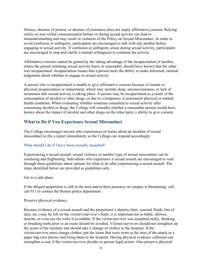Silence, absence of protest, or absence of resistance does not imply affirmative consent. Relying solely on non-verbal communication before or during sexual activity can lead to misunderstanding and may result in violation of the Policy on Sexual Misconduct. In order to avoid confusion or ambiguity, participants are encouraged to talk with one another before engaging in sexual activity. If confusion or ambiguity arises during sexual activity, participants are encouraged to stop and clarify a mutual willingness to continue the activity.

Affirmative consent cannot be gained by the taking advantage of the incapacitation of another, where the person initiating sexual activity knew or reasonably should have known that the other was incapacitated. Incapacitation means that a person lacks the ability to make informed, rational judgments about whether to engage in sexual activity.

A person who is incapacitated is unable to give affirmative consent because of mental or physical incapacitation or impairment, which may include sleep, unconsciousness, or lack of awareness that sexual activity is taking place. A person may be incapacitated as a result of the consumption of alcohol or other drugs, or due to a temporary or permanent physical or mental health condition. When evaluating whether someone consented to sexual activity after consuming alcohol or drugs, the College will consider whether a reasonable person would have known about the impact of alcohol and other drugs on the other party's ability to give consent.

# **What to Do if You Experience Sexual Misconduct**

The College encourages anyone who experiences or learns about an incident of sexual misconduct to file a report immediately so the College can respond accordingly.

#### What should I do if I have been sexually assaulted?

Experiencing a sexual assault, sexual violence or another type of sexual misconduct can be confusing and frightening. Individuals who experience a sexual assault are encouraged to read through these guidelines about options for what to do after experiencing a sexual assault. The steps identified below are provided as guidelines only.

Get to a safe place.

If the alleged perpetrator is still in the area and/or their presence on campus is threatening, call, call 911 to contact the Boston police department.

Preserve physical evidence.

Because evidence of a sexual assault and the perpetrator's identity (hair, seminal fluids, bits of skin, etc.) may be left on the victim's/survivor's body, it is important not to bathe, shower, douche, or even use the toilet if avoidable. If the victim/survivor was assaulted orally, drinking or brushing teeth prior to an exam should be avoided. Victims/survivors should not straighten up the scene of the incident and should take a change of clothes to the hospital. If the victim/survivor must change clothes, put the items that were worn at the time of the attack in a paper bag (not plastic) and bring them to the hospital. Having physical evidence collected can strengthen a case if the victim/survivor decides to pursue legal action. Also preserve physical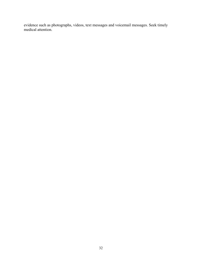evidence such as photographs, videos, text messages and voicemail messages. Seek timely medical attention.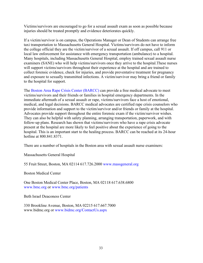Victims/survivors are encouraged to go for a sexual assault exam as soon as possible because injuries should be treated promptly and evidence deteriorates quickly.

If a victim/survivor is on campus, the Operations Manager or Dean of Students can arrange free taxi transportation to Massachusetts General Hospital. Victims/survivors do not have to inform the college official they are the victim/survivor of a sexual assault. If off campus, call 911 or local law enforcement for assistance with emergency transportation (ambulance) to a hospital. Many hospitals, including Massachusetts General Hospital, employ trained sexual assault nurse examiners (SANE) who will help victims/survivors once they arrive to the hospital.These nurses will support victims/survivors throughout their experience at the hospital and are trained to collect forensic evidence, check for injuries, and provide preventative treatment for pregnancy and exposure to sexually transmitted infections. A victim/survivor may bring a friend or family to the hospital for support.

The Boston Area Rape Crisis Center (BARCC) can provide a free medical advocate to meet victims/survivors and their friends or families in hospital emergency departments. In the immediate aftermath of a sexual assault or rape, victims/survivors face a host of emotional, medical, and legal decisions. BARCC medical advocates are certified rape crisis counselors who provide information and support to the victim/survivor and/or friends or family at the hospital. Advocates provide support throughout the entire forensic exam if the victim/survivor wishes. They can also be helpful with safety planning, arranging transportation, paperwork, and with follow-up plans. Research has shown that victims/survivors who have a rape crisis advocate present at the hospital are more likely to feel positive about the experience of going to the hospital. This is an important start to the healing process. BARCC can be reached at its 24-hour hotline at 800.841.8371.

There are a number of hospitals in the Boston area with sexual assault nurse examiners:

Massachusetts General Hospital

55 Fruit Street, Boston, MA 02114 617.726.2000 [www.massgeneral.org](http://www.massgeneral.org/)

Boston Medical Center

One Boston Medical Center Place, Boston, MA 02118 617.638.6800 [www.bmc.org](http://www.bmc.org/) or [www.bmc.org/patients](http://www.bmc.org/patients)

Beth Israel Deaconess Center

330 Brookline Avenue, Boston, MA 02215 617.667.7000 [www.bidmc.org](http://www.bidmc.org/) or [www.bidmc.org/ContactUs.aspx](http://www.bidmc.org/ContactUs.aspx)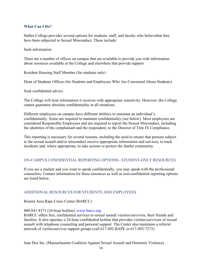#### **What Can I Do?**

Sattler College provides several options for students, staff, and faculty who believethat they have been subjected to Sexual Misconduct. These include:

Seek information.

There are a number of offices on campus that are available to provide you with information about resources available at the College and elsewhere that provide support.

Resident Housing Staff Member (for students only)

Dean of Students Offices (for Students and Employees Who Are Concerned About Students)

Seek confidential advice.

The College will treat information it receives with appropriate sensitivity. However, the College cannot guarantee absolute confidentiality in all situations.

Different employees on campus have different abilities to maintain an individual's confidentiality. Some are required to maintain confidentiality (see below). Most employees are considered Responsible Employees and are required to report the Sexual Misconduct, including the identities of the complainant and the respondent, to the Director of Title IX Compliance.

This reporting is necessary for several reasons, including the need to ensure that persons subject to the sexual assault and/or misconduct receive appropriate information and services, to track incidents and, where appropriate, to take actions to protect the Sattler community.

#### ON-CAMPUS CONFIDENTIAL REPORTING OPTIONS - STUDENT-ONLY RESOURCES

If you are a student and you want to speak confidentially, you may speak with the professional counselors. Contact information for these resources as well as non-confidential reporting options are listed below.

#### ADDITIONAL RESOURCES FOR STUDENTS AND EMPLOYEES

Boston Area Rape Crisis Center (BARCC)

#### 800-841-8371 (24-hour hotline), [www.barcc.org](http://www.barcc.org/)

BARCC offers free, confidential services to sexual assault victims/survivors, their friends and families. It also operates a 24-hour confidential hotline that provides victims/survivors of sexual assault with telephone counseling and personal support. The Center also maintains a referral network of victim/survivor support groups (call 617-492-RAPE or 617-492-7273).

Jane Doe Inc. (Massachusetts Coalition Against Sexual Assault and Domestic Violence)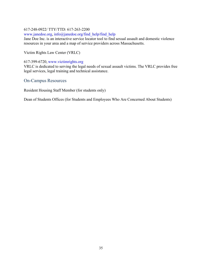#### 617-248-0922/ TTY/TTD: 617-263-2200

#### [www.janedoe.org,](http://www.janedoe.org/) info@janedoe.org/find\_help/find\_help

Jane Doe Inc. is an interactive service locator tool to find sexual assault and domestic violence resources in your area and a map of service providers across Massachusetts.

Victim Rights Law Center (VRLC)

#### 617-399-6720, [www.victimrights.org](http://www.victimrights.org/)

VRLC is dedicated to serving the legal needs of sexual assault victims. The VRLC provides free legal services, legal training and technical assistance.

# On-Campus Resources

Resident Housing Staff Member (for students only)

Dean of Students Offices (for Students and Employees Who Are Concerned About Students)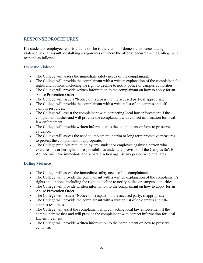# RESPONSE PROCEDURES

If a student or employee reports that he or she is the victim of domestic violence, dating violence, sexual assault, or stalking – regardless of where the offense occurred – the College will respond as follows:

#### Domestic Violence

- The College will assess the immediate safety needs of the complainant.
- The College will provide the complainant with a written explanation of the complainant's rights and options, including the right to decline to notify police or campus authorities.
- The College will provide written information to the complainant on how to apply for an Abuse Prevention Order.
- The College will issue a "Notice of Trespass" to the accused party, if appropriate.
- The College will provide the complainant with a written list of on-campus and offcampus resources.
- The College will assist the complainant with contacting local law enforcement if the complainant wishes and will provide the complainant with contact information for local law enforcement.
- The College will provide written information to the complainant on how to preserve evidence.
- The College will assess the need to implement interim or long term protective measures to protect the complainant, if appropriate.
- The College prohibits retaliation by any student or employee against a person who exercises his or her rights or responsibilities under any provision of the Campus SaVE Act and will take immediate and separate action against any person who retaliates.

#### **Dating Violence**

- The College will assess the immediate safety needs of the complainant.
- The College will provide the complainant with a written explanation of the complainant's rights and options, including the right to decline to notify police or campus authorities.
- The College will provide written information to the complainant on how to apply for an Abuse Prevention Order.
- The College will issue a "Notice of Trespass" to the accused party, if appropriate.
- The College will provide the complainant with a written list of on-campus and offcampus resources.
- The College will assist the complainant with contacting local law enforcement if the complainant wishes and will provide the complainant with contact information for local law enforcement.
- The College will provide written information to the complainant on how to preserve evidence.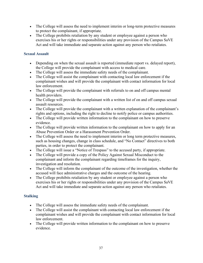- The College will assess the need to implement interim or long-term protective measures to protect the complainant, if appropriate.
- The College prohibits retaliation by any student or employee against a person who exercises his or her rights or responsibilities under any provision of the Campus SaVE Act and will take immediate and separate action against any person who retaliates.

# **Sexual Assault**

- Depending on when the sexual assault is reported (immediate report vs. delayed report), the College will provide the complainant with access to medical care.
- The College will assess the immediate safety needs of the complainant.
- The College will assist the complainant with contacting local law enforcement if the complainant wishes and will provide the complainant with contact information for local law enforcement.
- The College will provide the complainant with referrals to on and off campus mental health providers.
- The College will provide the complainant with a written list of on and off campus sexual assault resources.
- The College will provide the complainant with a written explanation of the complainant's rights and options, including the right to decline to notify police or campus authorities.
- The College will provide written information to the complainant on how to preserve evidence.
- The College will provide written information to the complainant on how to apply for an Abuse Prevention Order or a Harassment Prevention Order.
- The College will assess the need to implement interim or long term protective measures, such as housing changes, change in class schedule, and "No Contact" directives to both parties, in order to protect the complainant.
- The College will issue a "Notice of Trespass" to the accused party, if appropriate.
- The College will provide a copy of the Policy Against Sexual Misconduct to the complainant and inform the complainant regarding timeframes for the inquiry, investigation and resolution.
- The College will inform the complainant of the outcome of the investigation, whether the accused will face administrative charges and the outcome of the hearing.
- The College prohibits retaliation by any student or employee against a person who exercises his or her rights or responsibilities under any provision of the Campus SaVE Act and will take immediate and separate action against any person who retaliates.

# **Stalking**

- The College will assess the immediate safety needs of the complainant.
- The College will assist the complainant with contacting local law enforcement if the complainant wishes and will provide the complainant with contact information for local law enforcement.
- The College will provide written information to the complainant on how to preserve evidence.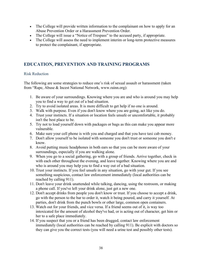- The College will provide written information to the complainant on how to apply for an Abuse Prevention Order or a Harassment Prevention Order.
- The College will issue a "Notice of Trespass" to the accused party, if appropriate.
- The College will assess the need to implement interim or long-term protective measures to protect the complainant, if appropriate.

# **EDUCATION, PREVENTION AND TRAINING PROGRAMS**

#### Risk Reduction

The following are some strategies to reduce one's risk of sexual assault or harassment (taken from "Rape, Abuse & Incest National Network, www.rainn.org):

- 1. Be aware of your surroundings. Knowing where you are and who is around you may help you to find a way to get out of a bad situation.
- 2. Try to avoid isolated areas. It is more difficult to get help if no one is around.
- 3. Walk with purpose. Even if you don't know where you are going, act like you do.
- 4. Trust your instincts. If a situation or location feels unsafe or uncomfortable, it probably isn't the best place to be.
- 5. Try not to load yourself down with packages or bags as this can make you appear more vulnerable.
- 6. Make sure your cell phone is with you and charged and that you have taxi cab money.
- 7. Don't allow yourself to be isolated with someone you don't trust or someone you don't e know.
- 8. Avoid putting music headphones in both ears so that you can be more aware of your surroundings, especially if you are walking alone.
- 9. When you go to a social gathering, go with a group of friends. Arrive together, check in with each other throughout the evening, and leave together. Knowing where you are and who is around you may help you to find a way out of a bad situation.
- 10. Trust your instincts. If you feel unsafe in any situation, go with your gut. If you see something suspicious, contact law enforcement immediately (local authorities can be reached by calling 911).
- 11. Don't leave your drink unattended while talking, dancing, using the restroom, or making a phone call. If you've left your drink alone, just get a new one.
- 12. Don't accept drinks from people you don't know or trust. If you choose to accept a drink, go with the person to the bar to order it, watch it being poured, and carry it yourself. At parties, don't drink from the punch bowls or other large, common open containers.
- 13. Watch out for your friends, and vice versa. If a friend seems out of it, is way too intoxicated for the amount of alcohol they've had, or is acting out of character, get him or her to a safe place immediately.
- 14. If you suspect that you or a friend has been drugged, contact law enforcement immediately (local authorities can be reached by calling 911). Be explicit with doctors so they can give you the correct tests (you will need a urine test and possibly other tests).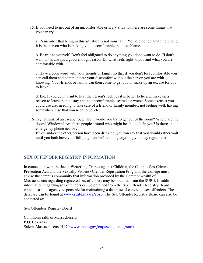15. If you need to get out of an uncomfortable or scary situation here are some things that you can try:

a. Remember that being in this situation is not your fault. You did not do anything wrong, it is the person who is making you uncomfortable that is to blame.

b. Be true to yourself. Don't feel obligated to do anything you don't want to do. "I don't want to" is always a good enough reason. Do what feels right to you and what you are comfortable with.

c. Have a code word with your friends or family so that if you don't feel comfortable you can call them and communicate your discomfort without the person you are with knowing. Your friends or family can then come to get you or make up an excuse for you to leave.

d. Lie. If you don't want to hurt the person's feelings it is better to lie and make up a reason to leave than to stay and be uncomfortable, scared, or worse. Some excuses you could use are: needing to take care of a friend or family member, not feeling well, having somewhere else that you need to be, etc.

- 16. Try to think of an escape route. How would you try to get out of the room? Where are the doors? Windows? Are there people around who might be able to help you? Is there an emergency phone nearby?
- 17. If you and/or the other person have been drinking, you can say that you would rather wait until you both have your full judgment before doing anything you may regret later.

# SEX OFFENDER REGISTRY INFORMATION

In connection with the Jacob Wetterling Crimes against Children, the Campus Sex Crimes Prevention Act, and the Sexually Violent Offender Registration Program, the College must advise the campus community that information provided by the Commonwealth of Massachusetts regarding registered sex offenders may be obtained from the SUPD. In addition, information regarding sex offenders can be obtained from the Sex Offender Registry Board, which is a state agency responsible for maintaining a database of convicted sex offenders. The database can be found at [www.state.ma.us/sorb](http://www.state.ma.us/sorb)[.](http://www.state.ma.us/sorb) The Sex Offender Registry Board can also be contacted at:

Sex Offenders Registry Board

Commonwealth of Massachusetts P.O. Box 4547 Salem, Massachusetts 01970 [www.mass.gov/eopss/agencies/sorb](http://www.mass.gov/eopss/agencies/sorb)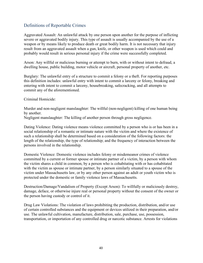# Definitions of Reportable Crimes

Aggravated Assault: An unlawful attack by one person upon another for the purpose of inflicting severe or aggravated bodily injury. This type of assault is usually accompanied by the use of a weapon or by means likely to produce death or great bodily harm. It is not necessary that injury result from an aggravated assault when a gun, knife, or other weapon is used which could and probably would result in serious personal injury if the crime were successfully completed.

Arson: Any willful or malicious burning or attempt to burn, with or without intent to defraud, a dwelling house, public building, motor vehicle or aircraft, personal property of another, etc.

Burglary: The unlawful entry of a structure to commit a felony or a theft. For reporting purposes this definition includes: unlawful entry with intent to commit a larceny or felony, breaking and entering with intent to commit a larceny, housebreaking, safecracking, and all attempts to commit any of the aforementioned.

#### Criminal Homicide:

Murder and non-negligent manslaughter: The willful (non-negligent) killing of one human being by another.

Negligent manslaughter: The killing of another person through gross negligence.

Dating Violence: Dating violence means violence committed by a person who is or has been in a social relationship of a romantic or intimate nature with the victim and where the existence of such a relationship shall be determined based on a consideration of the following factors: the length of the relationship, the type of relationship; and the frequency of interaction between the persons involved in the relationship.

Domestic Violence: Domestic violence includes felony or misdemeanor crimes of violence committed by a current or former spouse or intimate partner of a victim, by a person with whom the victim shares a child in common, by a person who is cohabitating with or has cohabitated with the victim as spouse or intimate partner, by a person similarly situated to a spouse of the victim under Massachusetts law, or by any other person against an adult or youth victim who is protected under the domestic or family violence laws of Massachusetts.

Destruction/Damage/Vandalism of Property (Except Arson): To willfully or maliciously destroy, damage, deface, or otherwise injure real or personal property without the consent of the owner or the person having custody or control of it.

Drug Law Violations: The violation of laws prohibiting the production, distribution, and/or use of certain controlled substances and the equipment or devices utilized in their preparation, and/or use. The unlawful cultivation, manufacture, distribution, sale, purchase, use, possession, transportation, or importation of any controlled drug or narcotic substance. Arrests for violations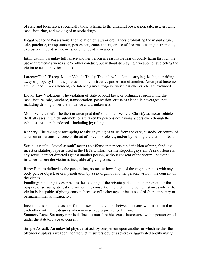of state and local laws, specifically those relating to the unlawful possession, sale, use, growing, manufacturing, and making of narcotic drugs.

Illegal Weapons Possession: The violation of laws or ordinances prohibiting the manufacture, sale, purchase, transportation, possession, concealment, or use of firearms, cutting instruments, explosives, incendiary devices, or other deadly weapons.

Intimidation: To unlawfully place another person in reasonable fear of bodily harm through the use of threatening words and/or other conduct, but without displaying a weapon or subjecting the victim to actual physical attack.

Larceny/Theft (Except Motor Vehicle Theft): The unlawful taking, carrying, leading, or riding away of property from the possession or constructive possession of another. Attempted larcenies are included. Embezzlement, confidence games, forgery, worthless checks, etc. are excluded.

Liquor Law Violations: The violation of state or local laws, or ordinances prohibiting the manufacture, sale, purchase, transportation, possession, or use of alcoholic beverages, not including driving under the influence and drunkenness.

Motor vehicle theft: The theft or attempted theft of a motor vehicle. Classify as motor vehicle theft all cases in which automobiles are taken by persons not having access even though the vehicles are later abandoned—including joyriding.

Robbery: The taking or attempting to take anything of value from the care, custody, or control of a person or persons by force or threat of force or violence, and/or by putting the victim in fear.

Sexual Assault: "Sexual assault" means an offense that meets the definition of rape, fondling, incest or statutory rape as used in the FBI's Uniform Crime Reporting system. A sex offense is any sexual contact directed against another person, without consent of the victim, including instances where the victim is incapable of giving consent.

Rape: Rape is defined as the penetration, no matter how slight, of the vagina or anus with any body part or object, or oral penetration by a sex organ of another person, without the consent of the victim.

Fondling: Fondling is described as the touching of the private parts of another person for the purpose of sexual gratification, without the consent of the victim, including instances where the victim is incapable of giving consent because of his/her age, or because of his/her temporary or permanent mental incapacity.

Incest: Incest s defined as non-forcible sexual intercourse between persons who are related to each other within the degrees wherein marriage is prohibited by law.

Statutory Rape: Statutory rape is defined as non-forcible sexual intercourse with a person who is under the statutory age of consent.

Simple Assault: An unlawful physical attack by one person upon another in which neither the offender displays a weapon, nor the victim suffers obvious severe or aggravated bodily injury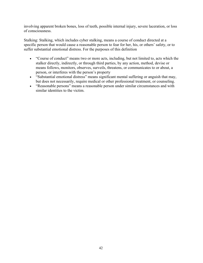involving apparent broken bones, loss of teeth, possible internal injury, severe laceration, or loss of consciousness.

Stalking: Stalking, which includes cyber stalking, means a course of conduct directed at a specific person that would cause a reasonable person to fear for her, his, or others' safety, or to suffer substantial emotional distress. For the purposes of this definition

- "Course of conduct" means two or more acts, including, but not limited to, acts which the stalker directly, indirectly, or through third parties, by any action, method, devise or means follows, monitors, observes, surveils, threatens, or communicates to or about, a person, or interferes with the person's property
- "Substantial emotional distress" means significant mental suffering or anguish that may, but does not necessarily, require medical or other professional treatment, or counseling.
- "Reasonable persons" means a reasonable person under similar circumstances and with similar identities to the victim.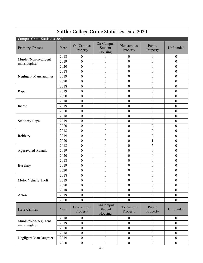| Sattler College Crime Statistics Data 2020 |      |                       |                                 |                       |                    |                  |
|--------------------------------------------|------|-----------------------|---------------------------------|-----------------------|--------------------|------------------|
| Campus Crime Statistics, 2020              |      |                       |                                 |                       |                    |                  |
| <b>Primary Crimes</b>                      | Year | On-Campus<br>Property | On-Campus<br>Student<br>Housing | Noncampus<br>Property | Public<br>Property | Unfounded        |
| Murder/Non-negligent<br>manslaughter       | 2018 | $\boldsymbol{0}$      | $\boldsymbol{0}$                | $\boldsymbol{0}$      | $\boldsymbol{0}$   | $\boldsymbol{0}$ |
|                                            | 2019 | $\boldsymbol{0}$      | $\boldsymbol{0}$                | $\boldsymbol{0}$      | $\boldsymbol{0}$   | $\boldsymbol{0}$ |
|                                            | 2020 | $\boldsymbol{0}$      | $\boldsymbol{0}$                | $\boldsymbol{0}$      | $\mathbf{0}$       | $\boldsymbol{0}$ |
| Negligent Manslaughter                     | 2018 | $\boldsymbol{0}$      | $\boldsymbol{0}$                | $\boldsymbol{0}$      | $\boldsymbol{0}$   | $\boldsymbol{0}$ |
|                                            | 2019 | $\boldsymbol{0}$      | $\boldsymbol{0}$                | $\boldsymbol{0}$      | $\boldsymbol{0}$   | $\boldsymbol{0}$ |
|                                            | 2020 | $\boldsymbol{0}$      | $\boldsymbol{0}$                | $\boldsymbol{0}$      | $\boldsymbol{0}$   | $\boldsymbol{0}$ |
| Rape                                       | 2018 | $\boldsymbol{0}$      | $\boldsymbol{0}$                | $\boldsymbol{0}$      | $\mathbf{0}$       | $\boldsymbol{0}$ |
|                                            | 2019 | $\boldsymbol{0}$      | $\boldsymbol{0}$                | $\boldsymbol{0}$      | $\boldsymbol{0}$   | $\boldsymbol{0}$ |
|                                            | 2020 | $\boldsymbol{0}$      | $\boldsymbol{0}$                | $\overline{0}$        | $\mathbf{0}$       | $\boldsymbol{0}$ |
|                                            | 2018 | $\boldsymbol{0}$      | $\boldsymbol{0}$                | $\boldsymbol{0}$      | $\boldsymbol{0}$   | $\boldsymbol{0}$ |
| Incest                                     | 2019 | $\boldsymbol{0}$      | $\boldsymbol{0}$                | $\boldsymbol{0}$      | $\boldsymbol{0}$   | $\boldsymbol{0}$ |
|                                            | 2020 | $\boldsymbol{0}$      | $\boldsymbol{0}$                | $\boldsymbol{0}$      | $\boldsymbol{0}$   | $\boldsymbol{0}$ |
|                                            | 2018 | $\boldsymbol{0}$      | $\mathbf{0}$                    | $\overline{0}$        | $\boldsymbol{0}$   | $\mathbf{0}$     |
| <b>Statutory Rape</b>                      | 2019 | $\boldsymbol{0}$      | $\mathbf{0}$                    | $\mathbf{0}$          | $\boldsymbol{0}$   | $\boldsymbol{0}$ |
|                                            | 2020 | $\boldsymbol{0}$      | $\boldsymbol{0}$                | $\boldsymbol{0}$      | $\boldsymbol{0}$   | $\boldsymbol{0}$ |
|                                            | 2018 | $\boldsymbol{0}$      | $\boldsymbol{0}$                | $\boldsymbol{0}$      | $\boldsymbol{0}$   | $\boldsymbol{0}$ |
| Robbery                                    | 2019 | $\boldsymbol{0}$      | $\boldsymbol{0}$                | $\boldsymbol{0}$      | $\boldsymbol{0}$   | $\boldsymbol{0}$ |
|                                            | 2020 | $\boldsymbol{0}$      | $\boldsymbol{0}$                | $\boldsymbol{0}$      | 1                  | $\boldsymbol{0}$ |
|                                            | 2018 | $\boldsymbol{0}$      | $\boldsymbol{0}$                | $\boldsymbol{0}$      | 5                  | $\boldsymbol{0}$ |
| <b>Aggravated Assault</b>                  | 2019 | $\boldsymbol{0}$      | $\boldsymbol{0}$                | $\boldsymbol{0}$      | $\mathbf{0}$       | $\boldsymbol{0}$ |
|                                            | 2020 | $\boldsymbol{0}$      | $\boldsymbol{0}$                | $\overline{0}$        | $\boldsymbol{0}$   | $\boldsymbol{0}$ |
|                                            | 2018 | $\boldsymbol{0}$      | $\boldsymbol{0}$                | $\boldsymbol{0}$      | $\boldsymbol{0}$   | $\boldsymbol{0}$ |
| <b>Burglary</b>                            | 2019 | $\boldsymbol{0}$      | $\boldsymbol{0}$                | $\overline{0}$        | $\boldsymbol{0}$   | $\boldsymbol{0}$ |
|                                            | 2020 | $\boldsymbol{0}$      | $\boldsymbol{0}$                | $\boldsymbol{0}$      | $\boldsymbol{0}$   | $\boldsymbol{0}$ |
|                                            | 2018 | $\boldsymbol{0}$      | $\boldsymbol{0}$                | $\boldsymbol{0}$      | $\boldsymbol{0}$   | $\boldsymbol{0}$ |
| Motor Vehicle Theft                        | 2019 | $\boldsymbol{0}$      | $\mathbf{0}$                    | $\mathbf{0}$          | $\overline{0}$     | $\theta$         |
|                                            | 2020 | $\boldsymbol{0}$      | $\boldsymbol{0}$                | $\boldsymbol{0}$      | $\boldsymbol{0}$   | $\boldsymbol{0}$ |
|                                            | 2018 | $\boldsymbol{0}$      | $\boldsymbol{0}$                | $\mathbf{0}$          | $\boldsymbol{0}$   | $\boldsymbol{0}$ |
| Arson                                      | 2019 | $\boldsymbol{0}$      | $\mathbf{0}$                    | $\boldsymbol{0}$      | $\boldsymbol{0}$   | $\boldsymbol{0}$ |
|                                            | 2020 | $\boldsymbol{0}$      | $\boldsymbol{0}$                | $\mathbf{0}$          | $\mathbf{0}$       | $\boldsymbol{0}$ |
| <b>Hate Crimes</b>                         | Year | On-Campus<br>Property | On-Campus<br>Student<br>Housing | Noncampus<br>Property | Public<br>Property | Unfounded        |
|                                            | 2018 | $\boldsymbol{0}$      | $\boldsymbol{0}$                | $\boldsymbol{0}$      | $\boldsymbol{0}$   | $\boldsymbol{0}$ |
| Murder/Non-negligent                       | 2019 | $\boldsymbol{0}$      | $\boldsymbol{0}$                | $\boldsymbol{0}$      | $\boldsymbol{0}$   | $\mathbf{0}$     |
| manslaughter                               | 2020 | $\boldsymbol{0}$      | $\boldsymbol{0}$                | $\boldsymbol{0}$      | $\boldsymbol{0}$   | $\boldsymbol{0}$ |
|                                            | 2018 | $\boldsymbol{0}$      | $\boldsymbol{0}$                | $\boldsymbol{0}$      | $\boldsymbol{0}$   | $\boldsymbol{0}$ |
| Negligent Manslaughter                     | 2019 | $\boldsymbol{0}$      | $\boldsymbol{0}$                | $\mathbf{0}$          | $\mathbf{0}$       | $\boldsymbol{0}$ |
|                                            | 2020 | $\boldsymbol{0}$      | $\boldsymbol{0}$                | $\boldsymbol{0}$      | $\boldsymbol{0}$   | $\boldsymbol{0}$ |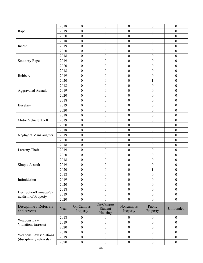|                                                    | 2018 | $\boldsymbol{0}$      | $\boldsymbol{0}$   | $\boldsymbol{0}$      | $\boldsymbol{0}$   | $\boldsymbol{0}$ |
|----------------------------------------------------|------|-----------------------|--------------------|-----------------------|--------------------|------------------|
| Rape                                               | 2019 | $\boldsymbol{0}$      | $\boldsymbol{0}$   | $\boldsymbol{0}$      | $\boldsymbol{0}$   | $\boldsymbol{0}$ |
|                                                    | 2020 | $\boldsymbol{0}$      | $\mathbf{0}$       | $\boldsymbol{0}$      | $\boldsymbol{0}$   | $\boldsymbol{0}$ |
|                                                    | 2018 | $\boldsymbol{0}$      | $\boldsymbol{0}$   | $\boldsymbol{0}$      | $\boldsymbol{0}$   | $\boldsymbol{0}$ |
| Incest                                             | 2019 | $\boldsymbol{0}$      | $\boldsymbol{0}$   | $\boldsymbol{0}$      | $\boldsymbol{0}$   | $\boldsymbol{0}$ |
|                                                    | 2020 | $\boldsymbol{0}$      | $\boldsymbol{0}$   | $\boldsymbol{0}$      | $\boldsymbol{0}$   | $\boldsymbol{0}$ |
|                                                    | 2018 | $\boldsymbol{0}$      | $\boldsymbol{0}$   | $\boldsymbol{0}$      | $\boldsymbol{0}$   | $\boldsymbol{0}$ |
| <b>Statutory Rape</b>                              | 2019 | $\boldsymbol{0}$      | $\boldsymbol{0}$   | $\boldsymbol{0}$      | $\boldsymbol{0}$   | $\boldsymbol{0}$ |
|                                                    | 2020 | $\boldsymbol{0}$      | $\boldsymbol{0}$   | $\boldsymbol{0}$      | $\boldsymbol{0}$   | $\boldsymbol{0}$ |
| Robbery                                            | 2018 | $\boldsymbol{0}$      | $\boldsymbol{0}$   | $\boldsymbol{0}$      | $\boldsymbol{0}$   | $\boldsymbol{0}$ |
|                                                    | 2019 | $\boldsymbol{0}$      | $\boldsymbol{0}$   | $\boldsymbol{0}$      | $\boldsymbol{0}$   | $\boldsymbol{0}$ |
|                                                    | 2020 | $\boldsymbol{0}$      | $\boldsymbol{0}$   | $\boldsymbol{0}$      | 1                  | $\boldsymbol{0}$ |
|                                                    | 2018 | $\boldsymbol{0}$      | $\boldsymbol{0}$   | $\boldsymbol{0}$      | $\boldsymbol{0}$   | $\boldsymbol{0}$ |
| <b>Aggravated Assault</b>                          | 2019 | $\boldsymbol{0}$      | $\boldsymbol{0}$   | $\boldsymbol{0}$      | $\boldsymbol{0}$   | $\boldsymbol{0}$ |
|                                                    | 2020 | $\boldsymbol{0}$      | $\boldsymbol{0}$   | 0                     | $\boldsymbol{0}$   | $\boldsymbol{0}$ |
|                                                    | 2018 | $\boldsymbol{0}$      | $\boldsymbol{0}$   | $\boldsymbol{0}$      | $\boldsymbol{0}$   | $\boldsymbol{0}$ |
| Burglary                                           | 2019 | $\boldsymbol{0}$      | $\boldsymbol{0}$   | 0                     | $\boldsymbol{0}$   | $\boldsymbol{0}$ |
|                                                    | 2020 | $\boldsymbol{0}$      | $\boldsymbol{0}$   | $\boldsymbol{0}$      | $\boldsymbol{0}$   | $\boldsymbol{0}$ |
|                                                    | 2018 | $\boldsymbol{0}$      | $\boldsymbol{0}$   | $\boldsymbol{0}$      | $\boldsymbol{0}$   | $\boldsymbol{0}$ |
| Motor Vehicle Theft                                | 2019 | $\boldsymbol{0}$      | $\boldsymbol{0}$   | $\boldsymbol{0}$      | $\overline{0}$     | $\boldsymbol{0}$ |
|                                                    | 2020 | $\boldsymbol{0}$      | $\boldsymbol{0}$   | $\boldsymbol{0}$      | $\boldsymbol{0}$   | $\boldsymbol{0}$ |
|                                                    | 2018 | $\boldsymbol{0}$      | $\boldsymbol{0}$   | $\boldsymbol{0}$      | $\boldsymbol{0}$   | $\boldsymbol{0}$ |
| Negligent Manslaughter                             | 2019 | $\boldsymbol{0}$      | $\boldsymbol{0}$   | $\boldsymbol{0}$      | $\boldsymbol{0}$   | $\boldsymbol{0}$ |
|                                                    | 2020 | $\boldsymbol{0}$      | $\boldsymbol{0}$   | $\boldsymbol{0}$      | $\boldsymbol{0}$   | $\boldsymbol{0}$ |
|                                                    | 2018 | $\boldsymbol{0}$      | $\boldsymbol{0}$   | 0                     | $\mathbf{0}$       | $\boldsymbol{0}$ |
| Larceny-Theft                                      | 2019 | $\boldsymbol{0}$      | $\boldsymbol{0}$   | $\boldsymbol{0}$      | $\boldsymbol{0}$   | $\boldsymbol{0}$ |
|                                                    | 2020 | $\boldsymbol{0}$      | $\boldsymbol{0}$   | $\boldsymbol{0}$      | $\boldsymbol{0}$   | $\boldsymbol{0}$ |
|                                                    | 2018 | $\boldsymbol{0}$      | $\boldsymbol{0}$   | $\boldsymbol{0}$      | $\overline{0}$     | $\boldsymbol{0}$ |
| Simple Assault                                     | 2019 | $\boldsymbol{0}$      | $\boldsymbol{0}$   | $\boldsymbol{0}$      | $\boldsymbol{0}$   | $\boldsymbol{0}$ |
|                                                    | 2020 | $\boldsymbol{0}$      | $\boldsymbol{0}$   | $\boldsymbol{0}$      | 1                  | $\boldsymbol{0}$ |
|                                                    | 2018 | $\boldsymbol{0}$      | $\boldsymbol{0}$   | $\boldsymbol{0}$      | $\boldsymbol{0}$   | $\boldsymbol{0}$ |
| Intimidation                                       | 2019 | $\boldsymbol{0}$      | $\boldsymbol{0}$   | $\boldsymbol{0}$      | $\boldsymbol{0}$   | $\boldsymbol{0}$ |
|                                                    | 2020 | $\boldsymbol{0}$      | $\boldsymbol{0}$   | $\boldsymbol{0}$      | $\boldsymbol{0}$   | $\boldsymbol{0}$ |
|                                                    | 2018 | $\mathbf{0}$          | $\mathbf{0}$       | $\boldsymbol{0}$      | $\mathbf{0}$       | $\overline{0}$   |
| Destruction/Damage/Va                              | 2019 | $\boldsymbol{0}$      | $\mathbf{0}$       | $\boldsymbol{0}$      | $\mathbf{0}$       | $\overline{0}$   |
| ndalism of Property                                | 2020 | $\boldsymbol{0}$      | $\boldsymbol{0}$   | $\boldsymbol{0}$      | $\overline{0}$     | $\boldsymbol{0}$ |
|                                                    |      |                       | On-Campus          |                       |                    |                  |
| <b>Disciplinary Referrals</b><br>and Arrests       | Year | On-Campus<br>Property | Student<br>Housing | Noncampus<br>Property | Public<br>Property | Unfounded        |
|                                                    | 2018 | $\boldsymbol{0}$      | $\boldsymbol{0}$   | $\boldsymbol{0}$      | $\boldsymbol{0}$   | $\boldsymbol{0}$ |
| Weapons Law<br>Violations (arrests)                | 2019 | $\mathbf{0}$          | $\boldsymbol{0}$   | $\mathbf{0}$          | $\mathbf{0}$       | $\overline{0}$   |
|                                                    | 2020 | $\boldsymbol{0}$      | $\boldsymbol{0}$   | $\boldsymbol{0}$      | $\mathbf{0}$       | $\boldsymbol{0}$ |
|                                                    | 2018 | $\boldsymbol{0}$      | $\boldsymbol{0}$   | $\boldsymbol{0}$      | $\boldsymbol{0}$   | $\boldsymbol{0}$ |
| Weapons Law violations<br>(disciplinary referrals) | 2019 | $\boldsymbol{0}$      | $\boldsymbol{0}$   | $\boldsymbol{0}$      | $\boldsymbol{0}$   | $\boldsymbol{0}$ |
|                                                    | 2020 | $\boldsymbol{0}$      | $\boldsymbol{0}$   | $\boldsymbol{0}$      | $\boldsymbol{0}$   | $\boldsymbol{0}$ |